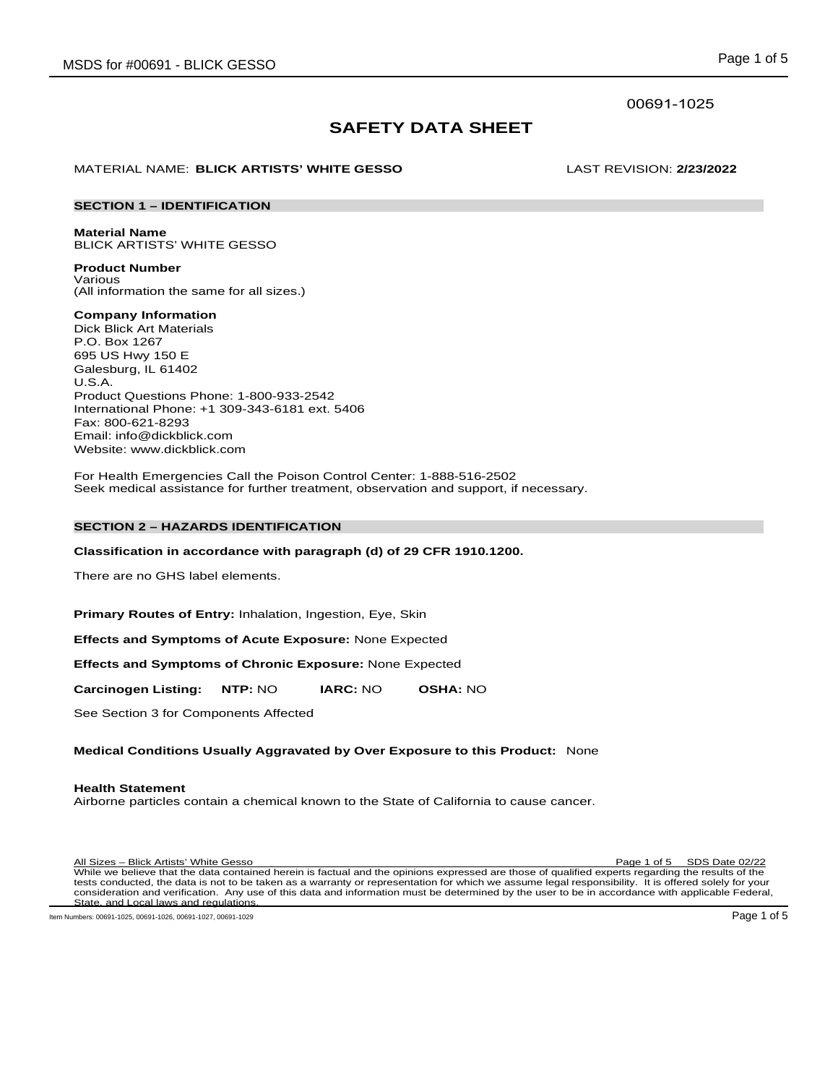# 00691-1025

# **SAFETY DATA SHEET**

# MATERIAL NAME: **BLICK ARTISTS' WHITE GESSO** LAST REVISION: **2/23/2022**

# **SECTION 1 – IDENTIFICATION**

# **Material Name**

BLICK ARTISTS' WHITE GESSO **Product Number**

Various (All information the same for all sizes.)

# **Company Information**

Dick Blick Art Materials P.O. Box 1267 695 US Hwy 150 E Galesburg, IL 61402 U.S.A. Product Questions Phone: 1-800-933-2542 International Phone: +1 309-343-6181 ext. 5406 Fax: 800-621-8293 Email: info@dickblick.com Website: www.dickblick.com

For Health Emergencies Call the Poison Control Center: 1-888-516-2502 Seek medical assistance for further treatment, observation and support, if necessary.

#### **SECTION 2 – HAZARDS IDENTIFICATION**

#### **Classification in accordance with paragraph (d) of 29 CFR 1910.1200.**

There are no GHS label elements.

**Primary Routes of Entry:** Inhalation, Ingestion, Eye, Skin

**Effects and Symptoms of Acute Exposure:** None Expected

**Effects and Symptoms of Chronic Exposure:** None Expected

**Carcinogen Listing: NTP:** NO **IARC:** NO **OSHA:** NO

See Section 3 for Components Affected

# **Medical Conditions Usually Aggravated by Over Exposure to this Product:** None

# **Health Statement**

Airborne particles contain a chemical known to the State of California to cause cancer.

All Sizes – Blick Artists' White Gesso Page 1 of 5 SDS Date 02/22 While we believe that the data contained herein is factual and the opinions expressed are those of qualified experts regarding the results of the tests conducted, the data is not to be taken as a warranty or representation for which we assume legal responsibility. It is offered solely for your consideration and verification. Any use of this data and information must be determined by the user to be in accordance with applicable Federal, State, and Local laws and regulations.

Item Numbers: 00691-1025, 00691-1026, 00691-1027, 00691-1029 **Page 1 of 5** Page 1 of 5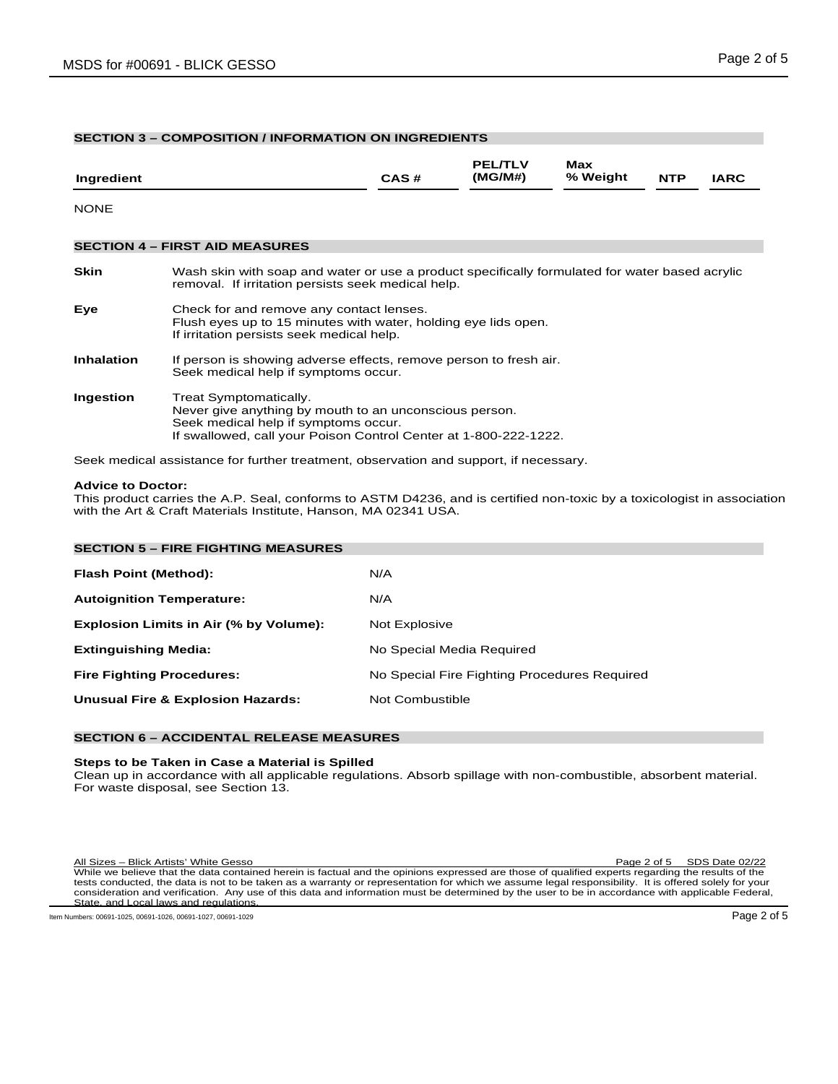# **SECTION 3 – COMPOSITION / INFORMATION ON INGREDIENTS**

| Ingredient        |                                                                                                                                                                                              | CAS# | <b>PEL/TLV</b><br>(MG/M#) | Max<br>% Weight | <b>NTP</b> | <b>IARC</b> |
|-------------------|----------------------------------------------------------------------------------------------------------------------------------------------------------------------------------------------|------|---------------------------|-----------------|------------|-------------|
| <b>NONE</b>       |                                                                                                                                                                                              |      |                           |                 |            |             |
|                   | <b>SECTION 4 - FIRST AID MEASURES</b>                                                                                                                                                        |      |                           |                 |            |             |
| <b>Skin</b>       | Wash skin with soap and water or use a product specifically formulated for water based acrylic<br>removal. If irritation persists seek medical help.                                         |      |                           |                 |            |             |
| Eye               | Check for and remove any contact lenses.<br>Flush eyes up to 15 minutes with water, holding eye lids open.<br>If irritation persists seek medical help.                                      |      |                           |                 |            |             |
| <b>Inhalation</b> | If person is showing adverse effects, remove person to fresh air.<br>Seek medical help if symptoms occur.                                                                                    |      |                           |                 |            |             |
| Ingestion         | Treat Symptomatically.<br>Never give anything by mouth to an unconscious person.<br>Seek medical help if symptoms occur.<br>If swallowed, call your Poison Control Center at 1-800-222-1222. |      |                           |                 |            |             |

Seek medical assistance for further treatment, observation and support, if necessary.

#### **Advice to Doctor:**

This product carries the A.P. Seal, conforms to ASTM D4236, and is certified non-toxic by a toxicologist in association with the Art & Craft Materials Institute, Hanson, MA 02341 USA.

| <b>SECTION 5 - FIRE FIGHTING MEASURES</b>    |                                              |
|----------------------------------------------|----------------------------------------------|
| Flash Point (Method):                        | N/A                                          |
| <b>Autoignition Temperature:</b>             | N/A                                          |
| Explosion Limits in Air (% by Volume):       | Not Explosive                                |
| <b>Extinguishing Media:</b>                  | No Special Media Required                    |
| <b>Fire Fighting Procedures:</b>             | No Special Fire Fighting Procedures Required |
| <b>Unusual Fire &amp; Explosion Hazards:</b> | Not Combustible                              |
|                                              |                                              |

# **SECTION 6 – ACCIDENTAL RELEASE MEASURES**

# **Steps to be Taken in Case a Material is Spilled**

Clean up in accordance with all applicable regulations. Absorb spillage with non-combustible, absorbent material. For waste disposal, see Section 13.

All Sizes – Blick Artists' White Gesso Page 2 of 5 SDS Date 02/22 While we believe that the data contained herein is factual and the opinions expressed are those of qualified experts regarding the results of the tests conducted, the data is not to be taken as a warranty or representation for which we assume legal responsibility. It is offered solely for your consideration and verification. Any use of this data and information must be determined by the user to be in accordance with applicable Federal, State, and Local laws and regulations.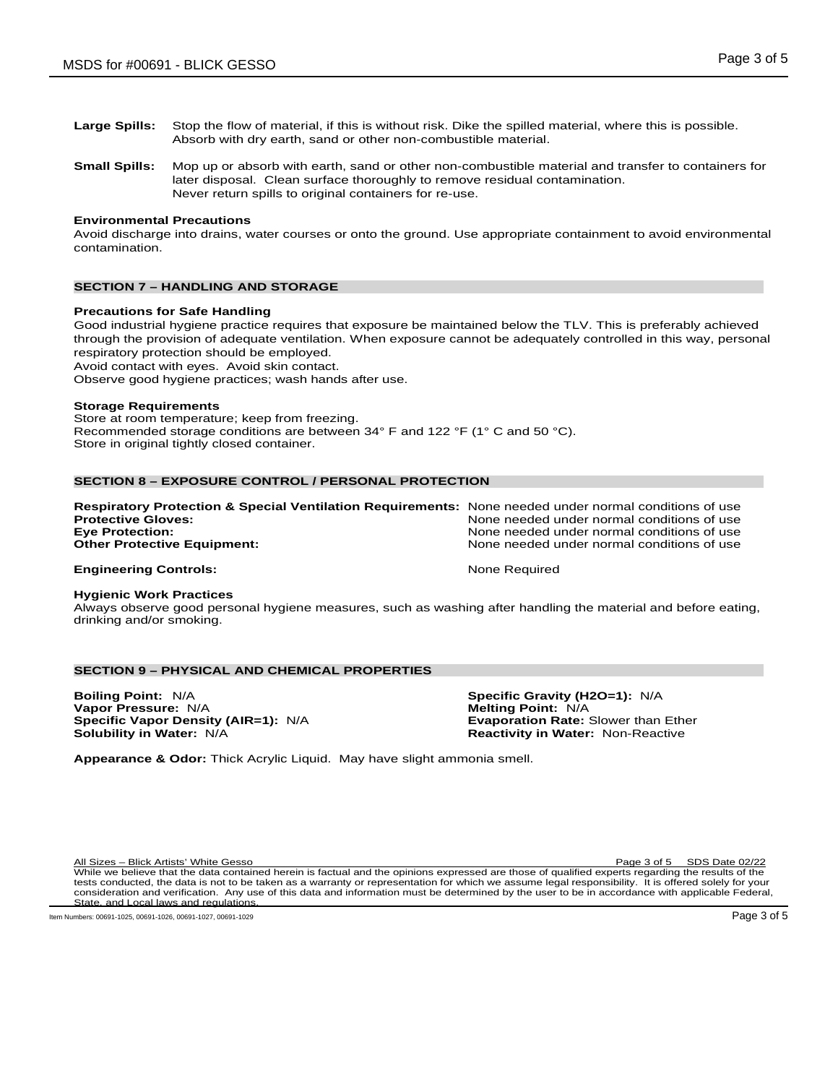- **Large Spills:** Stop the flow of material, if this is without risk. Dike the spilled material, where this is possible.
	- Absorb with dry earth, sand or other non-combustible material.
- **Small Spills:** Mop up or absorb with earth, sand or other non-combustible material and transfer to containers for later disposal. Clean surface thoroughly to remove residual contamination. Never return spills to original containers for re-use.

# **Environmental Precautions**

Avoid discharge into drains, water courses or onto the ground. Use appropriate containment to avoid environmental contamination.

# **SECTION 7 – HANDLING AND STORAGE**

#### **Precautions for Safe Handling**

Good industrial hygiene practice requires that exposure be maintained below the TLV. This is preferably achieved through the provision of adequate ventilation. When exposure cannot be adequately controlled in this way, personal respiratory protection should be employed.

Avoid contact with eyes. Avoid skin contact.

Observe good hygiene practices; wash hands after use.

#### **Storage Requirements**

Store at room temperature; keep from freezing. Recommended storage conditions are between 34° F and 122 °F (1° C and 50 °C). Store in original tightly closed container.

#### **SECTION 8 – EXPOSURE CONTROL / PERSONAL PROTECTION**

| <b>Respiratory Protection &amp; Special Ventilation Requirements:</b> None needed under normal conditions of use |                                            |
|------------------------------------------------------------------------------------------------------------------|--------------------------------------------|
| <b>Protective Gloves:</b>                                                                                        | None needed under normal conditions of use |
| <b>Eve Protection:</b>                                                                                           | None needed under normal conditions of use |
| <b>Other Protective Equipment:</b>                                                                               | None needed under normal conditions of use |
| <b>Engineering Controls:</b>                                                                                     | None Required                              |

#### **Hygienic Work Practices**

Always observe good personal hygiene measures, such as washing after handling the material and before eating, drinking and/or smoking.

# **SECTION 9 – PHYSICAL AND CHEMICAL PROPERTIES**

**Boiling Point:** N/A **Specific Gravity (H2O=1):** N/A **Vapor Pressure:** N/A **Melting Point:** N/A **Melting Point:** N/A **Specific Vapor Density (AIR=1):** N/A **Melting Point:** Exaporation Rate: Slower than Ether **Specific Vapor Density (AIR=1): N/A Solubility in Water: N/A** 

**Reactivity in Water: Non-Reactive** 

**Appearance & Odor:** Thick Acrylic Liquid. May have slight ammonia smell.

All Sizes – Blick Artists' White Gesso Page 3 of 5 SDS Date 02/22

While we believe that the data contained herein is factual and the opinions expressed are those of qualified experts regarding the results of the tests conducted, the data is not to be taken as a warranty or representation for which we assume legal responsibility. It is offered solely for your consideration and verification. Any use of this data and information must be determined by the user to be in accordance with applicable Federal, State, and Local laws and regulations.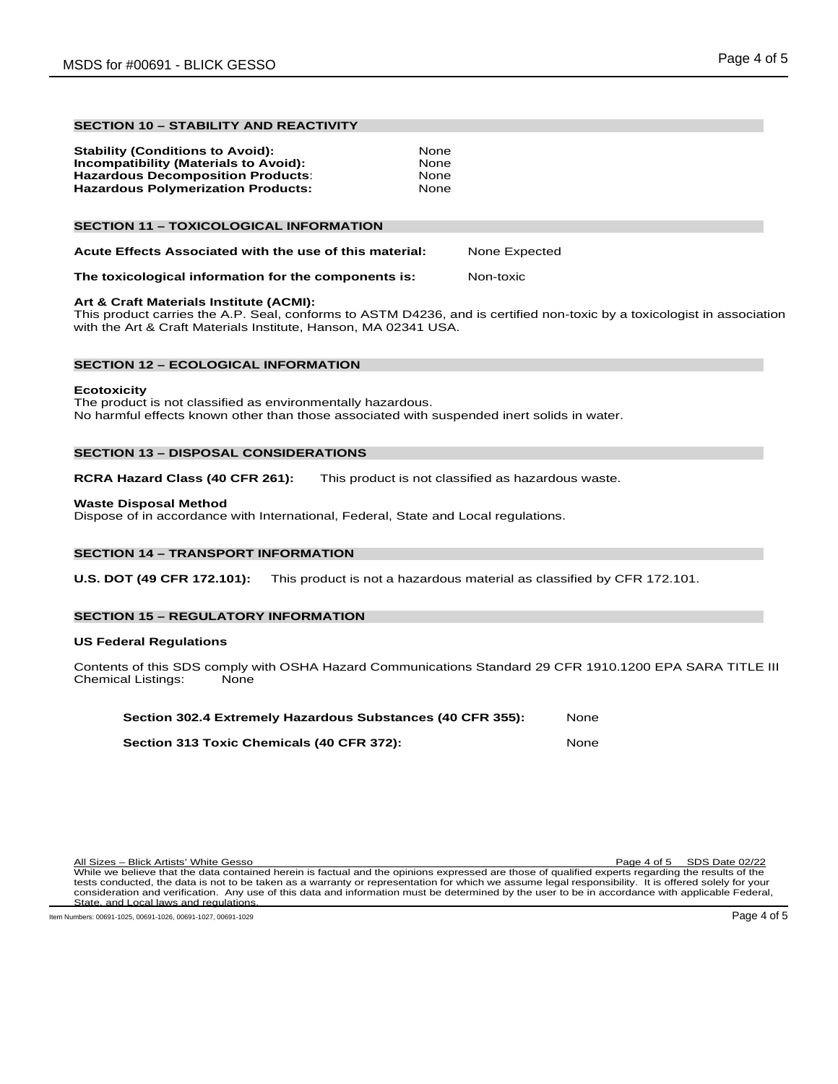# **SECTION 10 – STABILITY AND REACTIVITY**

# **SECTION 11 – TOXICOLOGICAL INFORMATION**

| Acute Effects Associated with the use of this material: | None Expected |
|---------------------------------------------------------|---------------|
|---------------------------------------------------------|---------------|

### **The toxicological information for the components is:** Non-toxic

# **Art & Craft Materials Institute (ACMI):**

This product carries the A.P. Seal, conforms to ASTM D4236, and is certified non-toxic by a toxicologist in association with the Art & Craft Materials Institute, Hanson, MA 02341 USA.

#### **SECTION 12 – ECOLOGICAL INFORMATION**

#### **Ecotoxicity**

The product is not classified as environmentally hazardous. No harmful effects known other than those associated with suspended inert solids in water.

# **SECTION 13 – DISPOSAL CONSIDERATIONS**

**RCRA Hazard Class (40 CFR 261):** This product is not classified as hazardous waste.

# **Waste Disposal Method**

Dispose of in accordance with International, Federal, State and Local regulations.

# **SECTION 14 – TRANSPORT INFORMATION**

**U.S. DOT (49 CFR 172.101):** This product is not a hazardous material as classified by CFR 172.101.

# **SECTION 15 – REGULATORY INFORMATION**

#### **US Federal Regulations**

Contents of this SDS comply with OSHA Hazard Communications Standard 29 CFR 1910.1200 EPA SARA TITLE III<br>Chemical Listings: None Chemical Listings:

| Section 302.4 Extremely Hazardous Substances (40 CFR 355): | None  |
|------------------------------------------------------------|-------|
| Section 313 Toxic Chemicals (40 CFR 372):                  | None. |

| All Sizes – Blick Artists' White Gesso                                                                                                               | Page 4 of 5 SDS Date 02/22 |
|------------------------------------------------------------------------------------------------------------------------------------------------------|----------------------------|
| While we believe that the data contained herein is factual and the opinions expressed are those of qualified experts regarding the results of the    |                            |
| tests conducted, the data is not to be taken as a warranty or representation for which we assume legal responsibility. It is offered solely for your |                            |
| consideration and verification. Any use of this data and information must be determined by the user to be in accordance with applicable Federal,     |                            |
| State, and Local laws and regulations.                                                                                                               |                            |